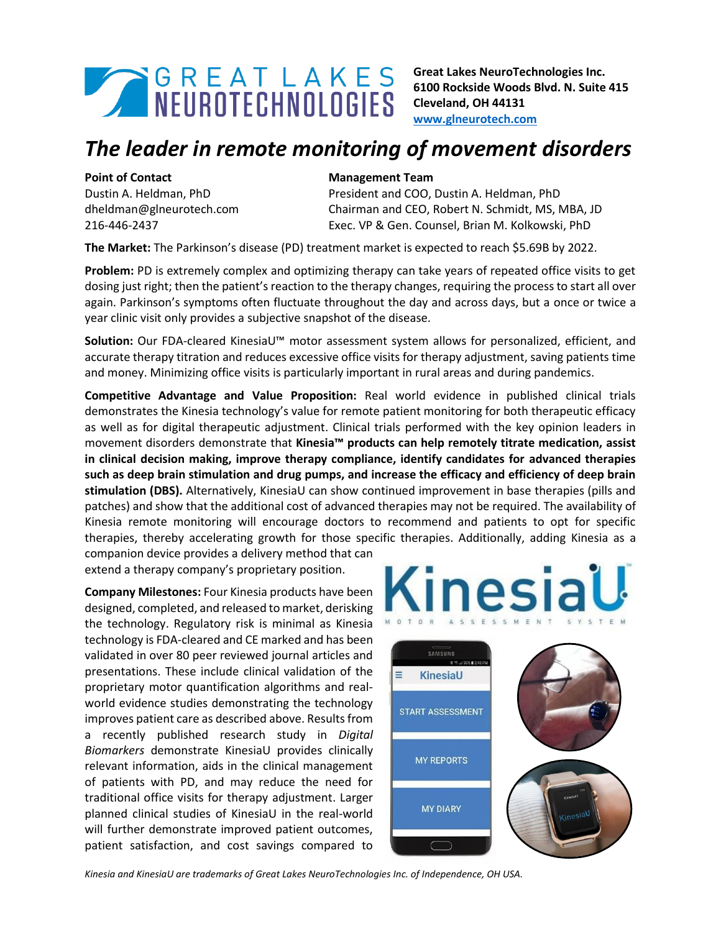

**Great Lakes NeuroTechnologies Inc. 6100 Rockside Woods Blvd. N. Suite 415 Cleveland, OH 44131 [www.glneurotech.com](http://www.glneurotech.com/)**

## *The leader in remote monitoring of movement disorders*

Dustin A. Heldman, PhD dheldman@glneurotech.com 216-446-2437

## **Point of Contact Management Team Management Team**

President and COO, Dustin A. Heldman, PhD Chairman and CEO, Robert N. Schmidt, MS, MBA, JD Exec. VP & Gen. Counsel, Brian M. Kolkowski, PhD

**The Market:** The Parkinson's disease (PD) treatment market is expected to reach \$5.69B by 2022.

**Problem:** PD is extremely complex and optimizing therapy can take years of repeated office visits to get dosing just right; then the patient's reaction to the therapy changes, requiring the process to start all over again. Parkinson's symptoms often fluctuate throughout the day and across days, but a once or twice a year clinic visit only provides a subjective snapshot of the disease.

**Solution:** Our FDA-cleared KinesiaU™ motor assessment system allows for personalized, efficient, and accurate therapy titration and reduces excessive office visits for therapy adjustment, saving patients time and money. Minimizing office visits is particularly important in rural areas and during pandemics.

**Competitive Advantage and Value Proposition:** Real world evidence in published clinical trials demonstrates the Kinesia technology's value for remote patient monitoring for both therapeutic efficacy as well as for digital therapeutic adjustment. Clinical trials performed with the key opinion leaders in movement disorders demonstrate that **Kinesia™ products can help remotely titrate medication, assist in clinical decision making, improve therapy compliance, identify candidates for advanced therapies such as deep brain stimulation and drug pumps, and increase the efficacy and efficiency of deep brain stimulation (DBS).** Alternatively, KinesiaU can show continued improvement in base therapies (pills and patches) and show that the additional cost of advanced therapies may not be required. The availability of Kinesia remote monitoring will encourage doctors to recommend and patients to opt for specific therapies, thereby accelerating growth for those specific therapies. Additionally, adding Kinesia as a

companion device provides a delivery method that can extend a therapy company's proprietary position.

**Company Milestones:** Four Kinesia products have been designed, completed, and released to market, derisking the technology. Regulatory risk is minimal as Kinesia technology is FDA-cleared and CE marked and has been validated in over 80 peer reviewed journal articles and presentations. These include clinical validation of the proprietary motor quantification algorithms and realworld evidence studies demonstrating the technology improves patient care as described above. Results from a recently published research study in *Digital Biomarkers* demonstrate KinesiaU provides clinically relevant information, aids in the clinical management of patients with PD, and may reduce the need for traditional office visits for therapy adjustment. Larger planned clinical studies of KinesiaU in the real-world will further demonstrate improved patient outcomes, patient satisfaction, and cost savings compared to





*Kinesia and KinesiaU are trademarks of Great Lakes NeuroTechnologies Inc. of Independence, OH USA.*